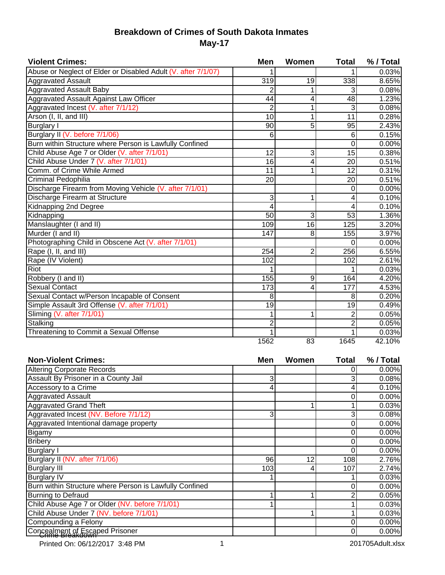## **Breakdown of Crimes of South Dakota Inmates May-17**

| <b>Violent Crimes:</b>                                        | <b>Men</b>      | Women           | <b>Total</b>    | % / Total |
|---------------------------------------------------------------|-----------------|-----------------|-----------------|-----------|
| Abuse or Neglect of Elder or Disabled Adult (V. after 7/1/07) |                 |                 |                 | 0.03%     |
| <b>Aggravated Assault</b>                                     | 319             | 19              | 338             | 8.65%     |
| <b>Aggravated Assault Baby</b>                                | 2               |                 | 3               | 0.08%     |
| Aggravated Assault Against Law Officer                        | $\overline{44}$ | 4               | $\overline{48}$ | 1.23%     |
| Aggravated Incest (V. after 7/1/12)                           | $\overline{2}$  |                 | 3               | 0.08%     |
| Arson (I, II, and III)                                        | 10              |                 | 11              | 0.28%     |
| <b>Burglary I</b>                                             | 90              | 5               | 95              | 2.43%     |
| Burglary II (V. before 7/1/06)                                | 6               |                 | 6               | 0.15%     |
| Burn within Structure where Person is Lawfully Confined       |                 |                 | 0               | 0.00%     |
| Child Abuse Age 7 or Older (V. after 7/1/01)                  | 12              | 3               | 15              | 0.38%     |
| Child Abuse Under 7 (V. after 7/1/01)                         | 16              | 4               | 20              | 0.51%     |
| Comm. of Crime While Armed                                    | 11              |                 | 12              | 0.31%     |
| Criminal Pedophilia                                           | 20              |                 | 20              | 0.51%     |
| Discharge Firearm from Moving Vehicle (V. after 7/1/01)       |                 |                 | 0               | 0.00%     |
| Discharge Firearm at Structure                                | 3               |                 | 4               | 0.10%     |
| <b>Kidnapping 2nd Degree</b>                                  | 4               |                 | 4               | 0.10%     |
| Kidnapping                                                    | 50              | 3               | $\overline{53}$ | 1.36%     |
| Manslaughter (I and II)                                       | 109             | 16              | 125             | 3.20%     |
| Murder (I and II)                                             | 147             | 8               | 155             | 3.97%     |
| Photographing Child in Obscene Act (V. after 7/1/01)          |                 |                 | 0               | 0.00%     |
| Rape (I, II, and III)                                         | 254             | $\overline{2}$  | 256             | 6.55%     |
| Rape (IV Violent)                                             | 102             |                 | 102             | 2.61%     |
| <b>Riot</b>                                                   |                 |                 |                 | 0.03%     |
| Robbery (I and II)                                            | 155             | 9               | 164             | 4.20%     |
| <b>Sexual Contact</b>                                         | 173             | 4               | 177             | 4.53%     |
| Sexual Contact w/Person Incapable of Consent                  | 8               |                 | 8               | 0.20%     |
| Simple Assault 3rd Offense (V. after 7/1/01)                  | 19              |                 | 19              | 0.49%     |
| Sliming (V. after 7/1/01)                                     |                 |                 | $\overline{2}$  | 0.05%     |
| Stalking                                                      | $\overline{2}$  |                 | $\overline{2}$  | 0.05%     |
| Threatening to Commit a Sexual Offense                        |                 |                 |                 | 0.03%     |
|                                                               | 1562            | $\overline{83}$ | 1645            | 42.10%    |

| <b>Non-Violent Crimes:</b>                              | Men | Women | <b>Total</b> | % / Total |
|---------------------------------------------------------|-----|-------|--------------|-----------|
| <b>Altering Corporate Records</b>                       |     |       |              | 0.00%     |
| Assault By Prisoner in a County Jail                    | 3   |       |              | 0.08%     |
| Accessory to a Crime                                    |     |       |              | 0.10%     |
| <b>Aggravated Assault</b>                               |     |       |              | 0.00%     |
| <b>Aggravated Grand Theft</b>                           |     |       |              | 0.03%     |
| Aggravated Incest (NV. Before 7/1/12)                   | 3   |       |              | 0.08%     |
| Aggravated Intentional damage property                  |     |       |              | 0.00%     |
| Bigamy                                                  |     |       |              | 0.00%     |
| <b>Bribery</b>                                          |     |       |              | 0.00%     |
| <b>Burglary I</b>                                       |     |       |              | 0.00%     |
| Burglary II (NV. after 7/1/06)                          | 96  | 12    | 108          | 2.76%     |
| <b>Burglary III</b>                                     | 103 |       | 107          | 2.74%     |
| <b>Burglary IV</b>                                      |     |       |              | 0.03%     |
| Burn within Structure where Person is Lawfully Confined |     |       |              | 0.00%     |
| <b>Burning to Defraud</b>                               |     |       |              | 0.05%     |
| Child Abuse Age 7 or Older (NV. before 7/1/01)          |     |       |              | 0.03%     |
| Child Abuse Under 7 (NV. before 7/1/01)                 |     |       |              | 0.03%     |
| Compounding a Felony                                    |     |       |              | 0.00%     |
| Concealment of Escaped Prisoner                         |     |       |              | 0.00%     |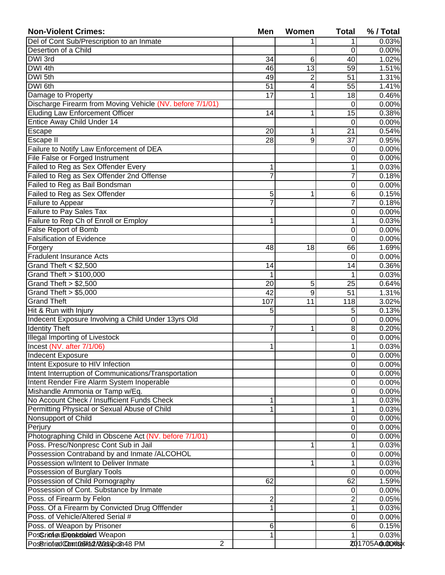| <b>Non-Violent Crimes:</b>                                | <b>Men</b>     | Women | <b>Total</b>   | % / Total       |
|-----------------------------------------------------------|----------------|-------|----------------|-----------------|
| Del of Cont Sub/Prescription to an Inmate                 |                |       | 1              | 0.03%           |
| Desertion of a Child                                      |                |       | 0              | 0.00%           |
| DWI 3rd                                                   | 34             | 6     | 40             | 1.02%           |
| DWI 4th                                                   | 46             | 13    | 59             | 1.51%           |
| DWI 5th                                                   | 49             | 2     | 51             | 1.31%           |
| DWI 6th                                                   | 51             | 4     | 55             | 1.41%           |
| Damage to Property                                        | 17             | 1     | 18             | 0.46%           |
| Discharge Firearm from Moving Vehicle (NV. before 7/1/01) |                |       | 0              | 0.00%           |
| <b>Eluding Law Enforcement Officer</b>                    | 14             | 1     | 15             | 0.38%           |
| Entice Away Child Under 14                                |                |       | 0              | 0.00%           |
| Escape                                                    | 20             | 1     | 21             | 0.54%           |
| Escape II                                                 | 28             | 9     | 37             | 0.95%           |
| Failure to Notify Law Enforcement of DEA                  |                |       | 0              | 0.00%           |
| File False or Forged Instrument                           |                |       | $\mathbf 0$    | 0.00%           |
| Failed to Reg as Sex Offender Every                       | 1              |       | 1              | 0.03%           |
| Failed to Reg as Sex Offender 2nd Offense                 | 7              |       | 7              | 0.18%           |
| Failed to Reg as Bail Bondsman                            |                |       | 0              | 0.00%           |
| Failed to Reg as Sex Offender                             | 5              | 1     | 6              | 0.15%           |
| Failure to Appear                                         | $\overline{7}$ |       | $\overline{7}$ | 0.18%           |
| Failure to Pay Sales Tax                                  |                |       | 0              | 0.00%           |
| Failure to Rep Ch of Enroll or Employ                     | 1              |       | 1              | 0.03%           |
| <b>False Report of Bomb</b>                               |                |       | 0              | 0.00%           |
| <b>Falsification of Evidence</b>                          |                |       | 0              | 0.00%           |
| Forgery                                                   | 48             | 18    | 66             | 1.69%           |
| <b>Fradulent Insurance Acts</b>                           |                |       | 0              | 0.00%           |
| Grand Theft $<$ \$2,500                                   | 14             |       | 14             | 0.36%           |
| Grand Theft > \$100,000                                   | 1              |       | 1              | 0.03%           |
| Grand Theft $> $2,500$                                    | 20             | 5     | 25             | 0.64%           |
| Grand Theft $> $5,000$                                    | 42             | 9     | 51             | 1.31%           |
| <b>Grand Theft</b>                                        | 107            | 11    | 118            | 3.02%           |
| Hit & Run with Injury                                     | 5              |       | 5              | 0.13%           |
| Indecent Exposure Involving a Child Under 13yrs Old       |                |       | 0              | 0.00%           |
| <b>Identity Theft</b>                                     | 7              | 1     | 8              | 0.20%           |
| <b>Illegal Importing of Livestock</b>                     |                |       | 0              | 0.00%           |
| Incest (NV. after 7/1/06)                                 | 1              |       | 1              | 0.03%           |
| <b>Indecent Exposure</b>                                  |                |       | 0              | 0.00%           |
| Intent Exposure to HIV Infection                          |                |       | 0              | 0.00%           |
| Intent Interruption of Communications/Transportation      |                |       | $\mathbf 0$    | 0.00%           |
| Intent Render Fire Alarm System Inoperable                |                |       | $\mathbf 0$    | 0.00%           |
| Mishandle Ammonia or Tamp w/Eq.                           |                |       | 0              | 0.00%           |
| No Account Check / Insufficient Funds Check               | 1              |       | 1              | 0.03%           |
| Permitting Physical or Sexual Abuse of Child              | 1              |       | 1              | 0.03%           |
| Nonsupport of Child                                       |                |       | $\mathbf 0$    | 0.00%           |
| Perjury                                                   |                |       | $\mathbf 0$    | 0.00%           |
| Photographing Child in Obscene Act (NV. before 7/1/01)    |                |       | $\mathbf 0$    | 0.00%           |
| Poss. Presc/Nonpresc Cont Sub in Jail                     |                | 1     | 1              | 0.03%           |
| Possession Contraband by and Inmate /ALCOHOL              |                |       | $\mathbf 0$    | 0.00%           |
| Possession w/Intent to Deliver Inmate                     |                | 1     | 1              | 0.03%           |
| Possession of Burglary Tools                              |                |       | 0              | 0.00%           |
| Possession of Child Pornography                           | 62             |       | 62             | 1.59%           |
| Possession of Cont. Substance by Inmate                   |                |       | $\mathbf 0$    | 0.00%           |
| Poss. of Firearm by Felon                                 | $\overline{c}$ |       | $\overline{2}$ | 0.05%           |
| Poss. Of a Firearm by Convicted Drug Offfender            | 1              |       | 1              | 0.03%           |
| Poss. of Vehicle/Altered Serial #                         |                |       | $\mathbf 0$    | 0.00%           |
| Poss. of Weapon by Prisoner                               | 6              |       | 6              | 0.15%           |
| Poschione Breakealed Weapon                               | 1              |       | 1              | 0.03%           |
| $\overline{2}$<br>PosBrintedComtool/ed/20eapo3148 PM      |                |       |                | 201705A0u00%lsx |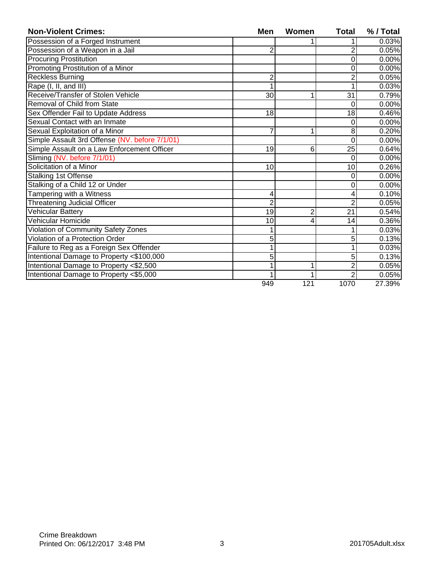| <b>Non-Violent Crimes:</b>                     | <b>Men</b>     | Women          | <b>Total</b> | % / Total |
|------------------------------------------------|----------------|----------------|--------------|-----------|
| Possession of a Forged Instrument              |                |                |              | 0.03%     |
| Possession of a Weapon in a Jail               | 2              |                | 2            | 0.05%     |
| <b>Procuring Prostitution</b>                  |                |                | 0            | 0.00%     |
| Promoting Prostitution of a Minor              |                |                | 0            | 0.00%     |
| <b>Reckless Burning</b>                        | 2              |                |              | 0.05%     |
| Rape (I, II, and III)                          |                |                |              | 0.03%     |
| Receive/Transfer of Stolen Vehicle             | 30             |                | 31           | 0.79%     |
| Removal of Child from State                    |                |                | 0            | 0.00%     |
| Sex Offender Fail to Update Address            | 18             |                | 18           | 0.46%     |
| Sexual Contact with an Inmate                  |                |                | 0            | 0.00%     |
| Sexual Exploitation of a Minor                 |                |                | 8            | 0.20%     |
| Simple Assault 3rd Offense (NV. before 7/1/01) |                |                | 0            | 0.00%     |
| Simple Assault on a Law Enforcement Officer    | 19             | 6              | 25           | 0.64%     |
| Sliming (NV. before 7/1/01)                    |                |                | 0            | 0.00%     |
| Solicitation of a Minor                        | 10             |                | 10           | 0.26%     |
| <b>Stalking 1st Offense</b>                    |                |                | 0            | 0.00%     |
| Stalking of a Child 12 or Under                |                |                | 0            | 0.00%     |
| Tampering with a Witness                       | 4              |                |              | 0.10%     |
| <b>Threatening Judicial Officer</b>            | $\overline{2}$ |                | 2            | 0.05%     |
| Vehicular Battery                              | 19             | $\overline{2}$ | 21           | 0.54%     |
| Vehicular Homicide                             | 10             |                | 14           | 0.36%     |
| Violation of Community Safety Zones            |                |                |              | 0.03%     |
| Violation of a Protection Order                | 5              |                | 5            | 0.13%     |
| Failure to Reg as a Foreign Sex Offender       |                |                |              | 0.03%     |
| Intentional Damage to Property <\$100,000      | 5              |                | 5            | 0.13%     |
| Intentional Damage to Property <\$2,500        |                |                | 2            | 0.05%     |
| Intentional Damage to Property <\$5,000        |                |                | 2            | 0.05%     |
|                                                | 949            | 121            | 1070         | 27.39%    |